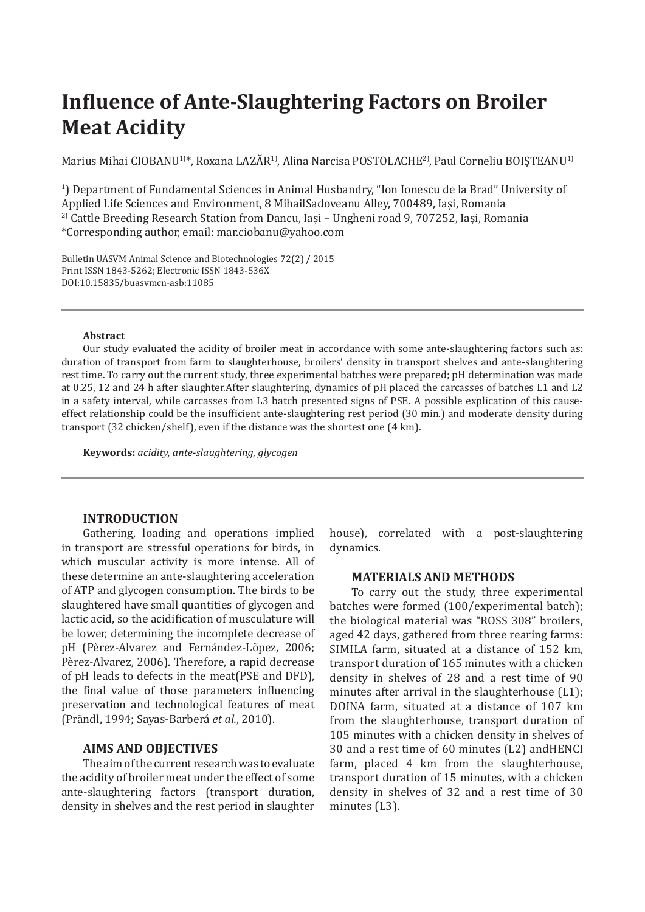# **Influence of Ante-Slaughtering Factors on Broiler Meat Acidity**

Marius Mihai CIOBANU<sup>1)\*</sup>, Roxana LAZĂR<sup>1)</sup>, Alina Narcisa POSTOLACHE<sup>2</sup>), Paul Corneliu BOISTEANU<sup>1)</sup>

1 ) Department of Fundamental Sciences in Animal Husbandry, "Ion Ionescu de la Brad" University of Applied Life Sciences and Environment, 8 MihailSadoveanu Alley, 700489, Iași, Romania 2) Cattle Breeding Research Station from Dancu, Iași – Ungheni road 9, 707252, Iaşi, Romania \*Corresponding author, email: mar.ciobanu@yahoo.com

Bulletin UASVM Animal Science and Biotechnologies 72(2) / 2015 Print ISSN 1843-5262; Electronic ISSN 1843-536X DOI:10.15835/buasvmcn-asb:11085

#### **Abstract**

Our study evaluated the acidity of broiler meat in accordance with some ante-slaughtering factors such as: duration of transport from farm to slaughterhouse, broilers' density in transport shelves and ante-slaughtering rest time. To carry out the current study, three experimental batches were prepared; pH determination was made at 0.25, 12 and 24 h after slaughter.After slaughtering, dynamics of pH placed the carcasses of batches L1 and L2 in a safety interval, while carcasses from L3 batch presented signs of PSE. A possible explication of this causeeffect relationship could be the insufficient ante-slaughtering rest period (30 min.) and moderate density during transport (32 chicken/shelf), even if the distance was the shortest one (4 km).

**Keywords:** *acidity, ante-slaughtering, glycogen*

## **INTRODUCTION**

Gathering, loading and operations implied in transport are stressful operations for birds, in which muscular activity is more intense. All of these determine an ante-slaughtering acceleration of ATP and glycogen consumption. The birds to be slaughtered have small quantities of glycogen and lactic acid, so the acidification of musculature will be lower, determining the incomplete decrease of pH (Pèrez-Alvarez and Fernández-Lõpez, 2006; Pèrez-Alvarez, 2006). Therefore, a rapid decrease of pH leads to defects in the meat(PSE and DFD), the final value of those parameters influencing preservation and technological features of meat (Prändl, 1994; Sayas-Barberá *et al.*, 2010).

# **AIMS AND OBJECTIVES**

The aim of the current research was to evaluate the acidity of broiler meat under the effect of some ante-slaughtering factors (transport duration, density in shelves and the rest period in slaughter house), correlated with a post-slaughtering dynamics.

## **MATERIALS AND METHODS**

To carry out the study, three experimental batches were formed (100/experimental batch); the biological material was "ROSS 308" broilers, aged 42 days, gathered from three rearing farms: SIMILA farm, situated at a distance of 152 km, transport duration of 165 minutes with a chicken density in shelves of 28 and a rest time of 90 minutes after arrival in the slaughterhouse (L1); DOINA farm, situated at a distance of 107 km from the slaughterhouse, transport duration of 105 minutes with a chicken density in shelves of 30 and a rest time of 60 minutes (L2) andHENCI farm, placed 4 km from the slaughterhouse, transport duration of 15 minutes, with a chicken density in shelves of 32 and a rest time of 30 minutes (L3).